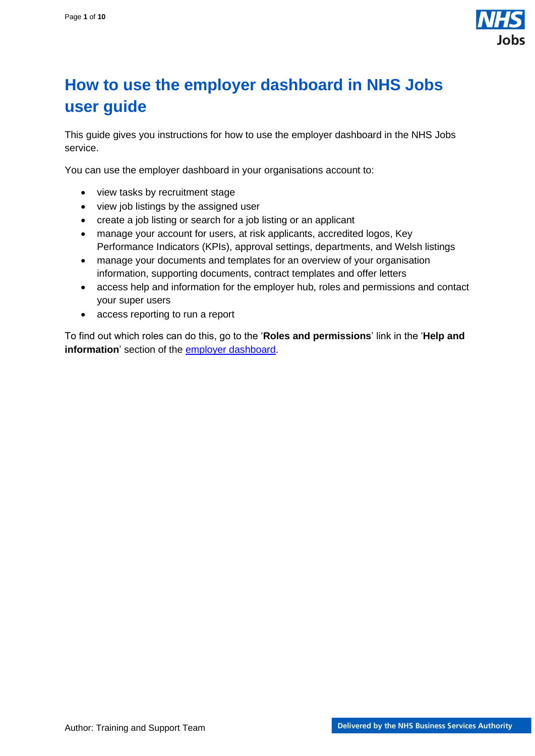

# <span id="page-0-0"></span>**How to use the employer dashboard in NHS Jobs user guide**

This guide gives you instructions for how to use the employer dashboard in the NHS Jobs service.

You can use the employer dashboard in your organisations account to:

- view tasks by recruitment stage
- view job listings by the assigned user
- create a job listing or search for a job listing or an applicant
- manage your account for users, at risk applicants, accredited logos, Key Performance Indicators (KPIs), approval settings, departments, and Welsh listings
- manage your documents and templates for an overview of your organisation information, supporting documents, contract templates and offer letters
- access help and information for the employer hub, roles and permissions and contact your super users
- access reporting to run a report

To find out which roles can do this, go to the '**Roles and permissions**' link in the '**Help and information**' section of the [employer dashboard.](https://beta.jobs.nhs.uk/home)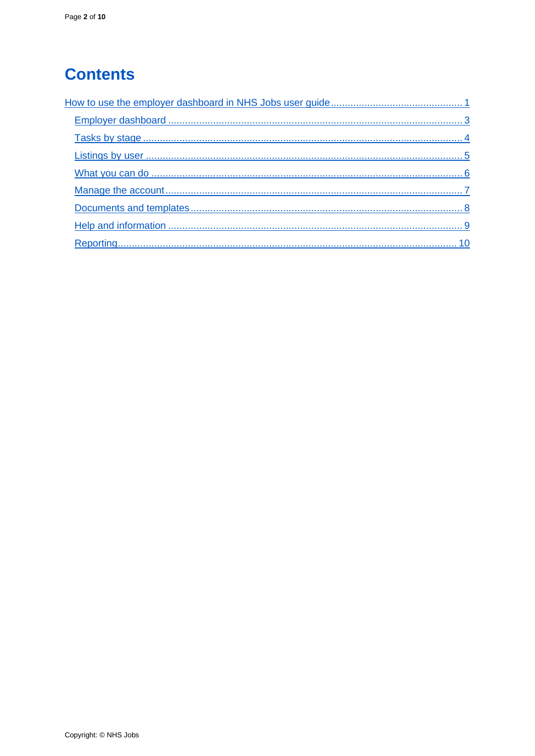# **Contents**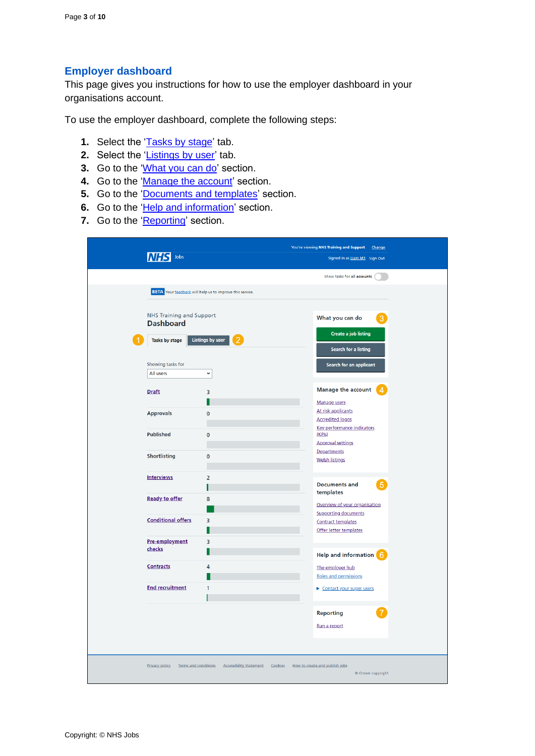#### <span id="page-2-0"></span>**Employer dashboard**

This page gives you instructions for how to use the employer dashboard in your organisations account.

To use the employer dashboard, complete the following steps:

- **1.** Select the ['Tasks by stage'](#page-3-0) tab.
- **2.** Select the ['Listings by user'](#page-4-0) tab.
- **3.** Go to the ['What you can do'](#page-5-0) section.
- **4.** Go to the ['Manage the](#page-6-0) account' section.
- **5.** Go to the ['Documents and templates'](#page-7-0) section.
- **6.** Go to the ['Help and information'](#page-8-0) section.
- **7.** Go to the ['Reporting'](#page-9-0) section.

| MHS Jobs                                                              |                                                                 | You're viewing NHS Training and Support<br>Change<br>Signed in as Liam M1 Sign Out |
|-----------------------------------------------------------------------|-----------------------------------------------------------------|------------------------------------------------------------------------------------|
|                                                                       |                                                                 | Show tasks for all accounts                                                        |
|                                                                       | <b>BETA</b> Your feedback will help us to improve this service. |                                                                                    |
| <b>NHS Training and Support</b><br><b>Dashboard</b><br>Tasks by stage | <b>Listings by user</b>                                         | What you can do<br>3<br><b>Create a job listing</b><br>Search for a listing        |
| Showing tasks for<br>All users                                        | $\check{ }$                                                     | Search for an applicant                                                            |
| <b>Draft</b>                                                          | 3                                                               | <b>Manage the account</b>                                                          |
| <b>Approvals</b>                                                      | $\mathbf 0$                                                     | Manage users<br>At risk applicants<br><b>Accredited logos</b>                      |
| <b>Published</b>                                                      | $\mathbf 0$                                                     | Key performance indicators<br>(KPIs)<br><b>Approval settings</b>                   |
| <b>Shortlisting</b>                                                   | $\mathbf 0$                                                     | <b>Departments</b><br><b>Welsh listings</b>                                        |
| <b>Interviews</b>                                                     | $\overline{2}$                                                  | <b>Documents and</b><br>templates                                                  |
| <b>Ready to offer</b>                                                 | 8                                                               | Overview of your organisation<br><b>Supporting documents</b>                       |
| <b>Conditional offers</b>                                             | 3                                                               | <b>Contract templates</b><br>Offer letter templates                                |
| Pre-employment<br>checks                                              | 3                                                               | Help and information 6                                                             |
| <b>Contracts</b>                                                      | 4                                                               | The employer hub<br><b>Roles and permissions</b>                                   |
| <b>End recruitment</b>                                                | 1                                                               | Contact your super users                                                           |
|                                                                       |                                                                 | <b>Reporting</b><br>Run a report                                                   |
| Privacy policy<br>Terms and conditions                                | <b>Accessibility Statement</b>                                  | Cookies<br>How to create and publish jobs<br>© Crown copyright                     |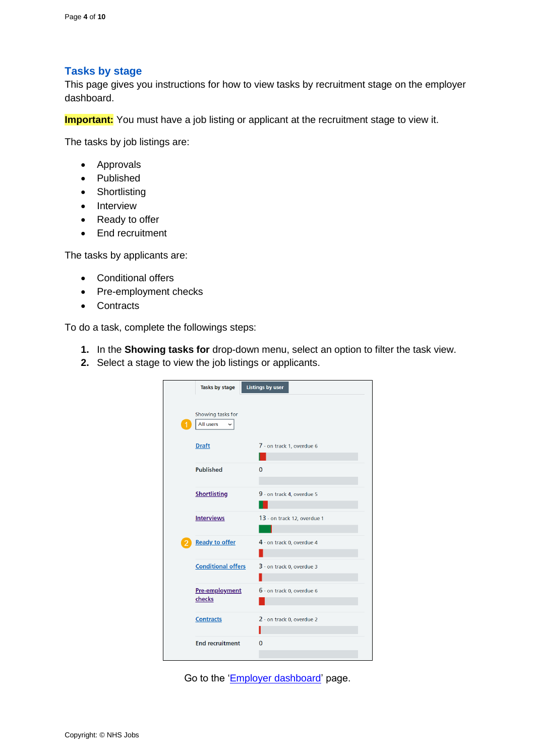#### <span id="page-3-0"></span>**Tasks by stage**

This page gives you instructions for how to view tasks by recruitment stage on the employer dashboard.

**Important:** You must have a job listing or applicant at the recruitment stage to view it.

The tasks by job listings are:

- Approvals
- Published
- Shortlisting
- Interview
- Ready to offer
- End recruitment

The tasks by applicants are:

- Conditional offers
- Pre-employment checks
- Contracts

To do a task, complete the followings steps:

- **1.** In the **Showing tasks for** drop-down menu, select an option to filter the task view.
- **2.** Select a stage to view the job listings or applicants.

| Tasks by stage            | <b>Listings by user</b>     |
|---------------------------|-----------------------------|
| Showing tasks for         |                             |
| All users                 |                             |
| <b>Draft</b>              | 7 - on track 1, overdue 6   |
|                           |                             |
| <b>Published</b>          | $\Omega$                    |
|                           |                             |
| <b>Shortlisting</b>       | 9 - on track 4, overdue 5   |
|                           |                             |
| <b>Interviews</b>         | 13 - on track 12, overdue 1 |
|                           |                             |
| <b>Ready to offer</b>     | 4 - on track 0, overdue 4   |
|                           |                             |
| <b>Conditional offers</b> | 3 - on track 0, overdue 3   |
| Pre-employment            | 6 - on track 0, overdue 6   |
| checks                    |                             |
| <b>Contracts</b>          | 2 - on track 0, overdue 2   |
|                           |                             |
| <b>End recruitment</b>    | $\Omega$                    |
|                           |                             |

Go to the ['Employer dashboard'](#page-2-0) page.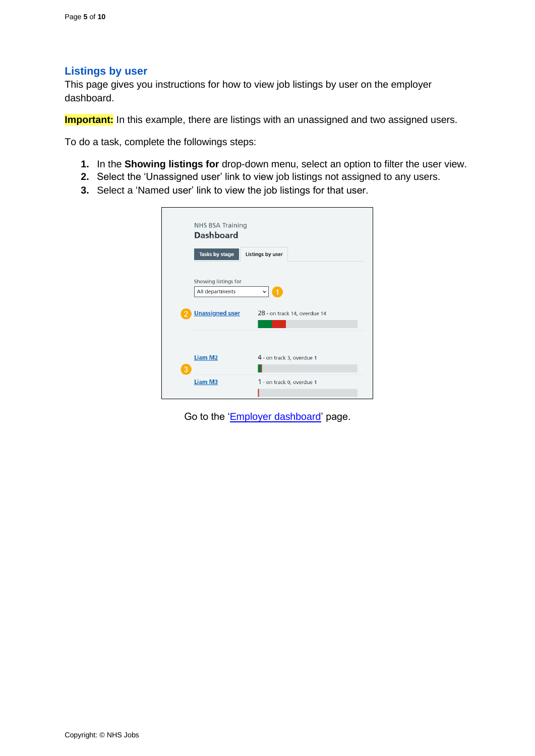#### <span id="page-4-0"></span>**Listings by user**

This page gives you instructions for how to view job listings by user on the employer dashboard.

**Important:** In this example, there are listings with an unassigned and two assigned users.

To do a task, complete the followings steps:

- **1.** In the **Showing listings for** drop-down menu, select an option to filter the user view.
- **2.** Select the 'Unassigned user' link to view job listings not assigned to any users.
- **3.** Select a 'Named user' link to view the job listings for that user.

|   | <b>NHS BSA Training</b><br><b>Dashboard</b> |                              |
|---|---------------------------------------------|------------------------------|
|   | <b>Tasks by stage</b>                       | <b>Listings by user</b>      |
|   | Showing listings for<br>All departments     | ◆<br>$\check{~}$             |
|   | <b>Unassigned user</b>                      | 28 - on track 14, overdue 14 |
| 3 | <b>Liam M2</b>                              | 4 - on track 3, overdue 1    |
|   | <b>Liam M3</b>                              | 1 - on track 0, overdue 1    |

Go to the ['Employer dashboard'](#page-2-0) page.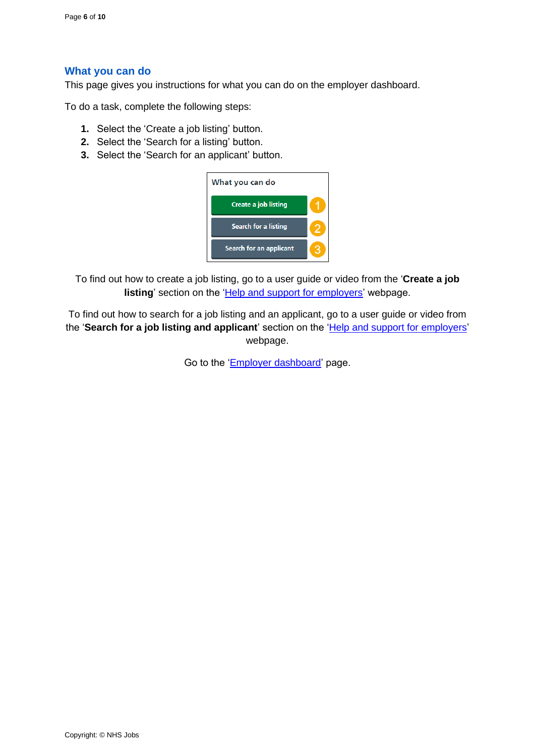#### <span id="page-5-0"></span>**What you can do**

This page gives you instructions for what you can do on the employer dashboard.

To do a task, complete the following steps:

- **1.** Select the 'Create a job listing' button.
- **2.** Select the 'Search for a listing' button.
- **3.** Select the 'Search for an applicant' button.



To find out how to create a job listing, go to a user guide or video from the '**Create a job**  listing' section on the ['Help and support for employers'](https://www.nhsbsa.nhs.uk/new-nhs-jobs-service/help-and-support-employers) webpage.

To find out how to search for a job listing and an applicant, go to a user guide or video from the 'Search for a job listing and applicant' section on the ['Help and support for employers'](https://www.nhsbsa.nhs.uk/new-nhs-jobs-service/help-and-support-employers) webpage.

Go to the ['Employer dashboard'](#page-2-0) page.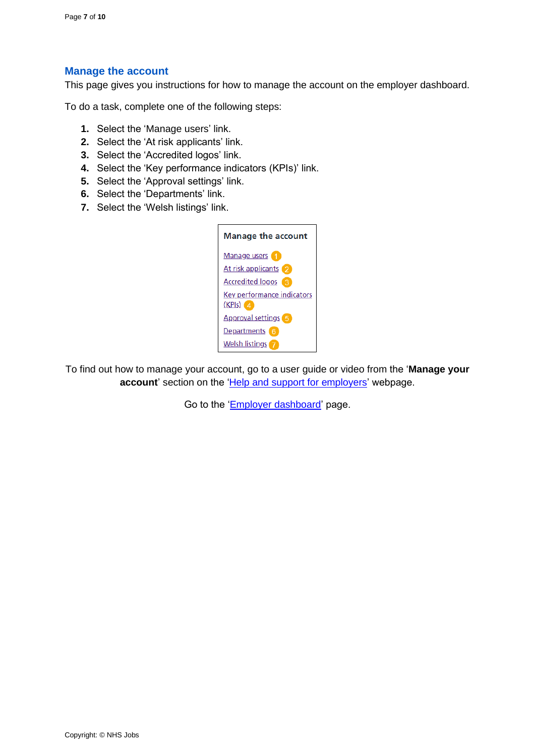#### <span id="page-6-0"></span>**Manage the account**

This page gives you instructions for how to manage the account on the employer dashboard.

To do a task, complete one of the following steps:

- **1.** Select the 'Manage users' link.
- **2.** Select the 'At risk applicants' link.
- **3.** Select the 'Accredited logos' link.
- **4.** Select the 'Key performance indicators (KPIs)' link.
- **5.** Select the 'Approval settings' link.
- **6.** Select the 'Departments' link.
- **7.** Select the 'Welsh listings' link.



To find out how to manage your account, go to a user guide or video from the '**Manage your account**' section on the ['Help and support for employers'](https://www.nhsbsa.nhs.uk/new-nhs-jobs-service/help-and-support-employers) webpage.

Go to the ['Employer dashboard'](#page-2-0) page.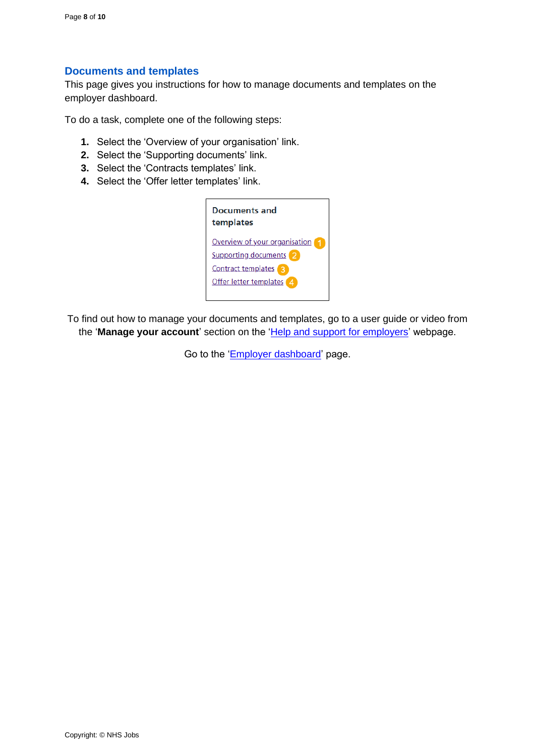#### <span id="page-7-0"></span>**Documents and templates**

This page gives you instructions for how to manage documents and templates on the employer dashboard.

To do a task, complete one of the following steps:

- **1.** Select the 'Overview of your organisation' link.
- **2.** Select the 'Supporting documents' link.
- **3.** Select the 'Contracts templates' link.
- **4.** Select the 'Offer letter templates' link.



To find out how to manage your documents and templates, go to a user guide or video from the '**Manage your account**' section on the ['Help and support for employers'](https://www.nhsbsa.nhs.uk/new-nhs-jobs-service/help-and-support-employers) webpage.

Go to the ['Employer dashboard'](#page-2-0) page.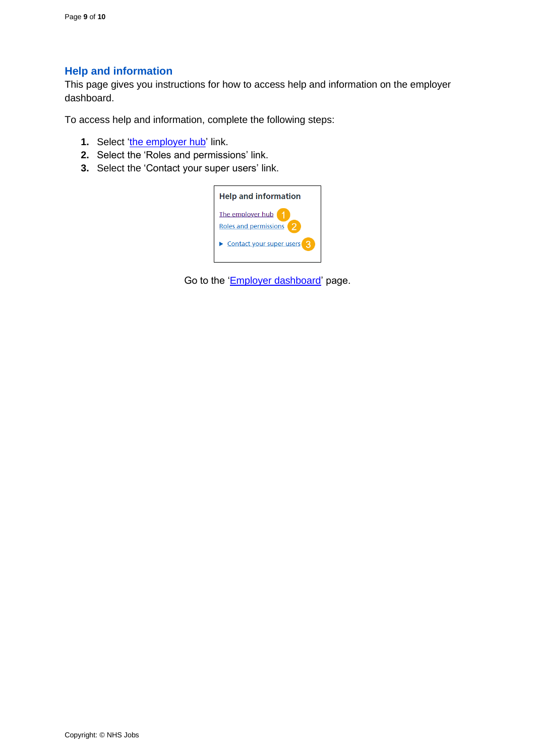### <span id="page-8-0"></span>**Help and information**

This page gives you instructions for how to access help and information on the employer dashboard.

To access help and information, complete the following steps:

- **1.** Select 'the [employer hub'](https://beta.jobs.nhs.uk/home) link.
- **2.** Select the 'Roles and permissions' link.
- **3.** Select the 'Contact your super users' link.



Go to the ['Employer dashboard'](#page-2-0) page.